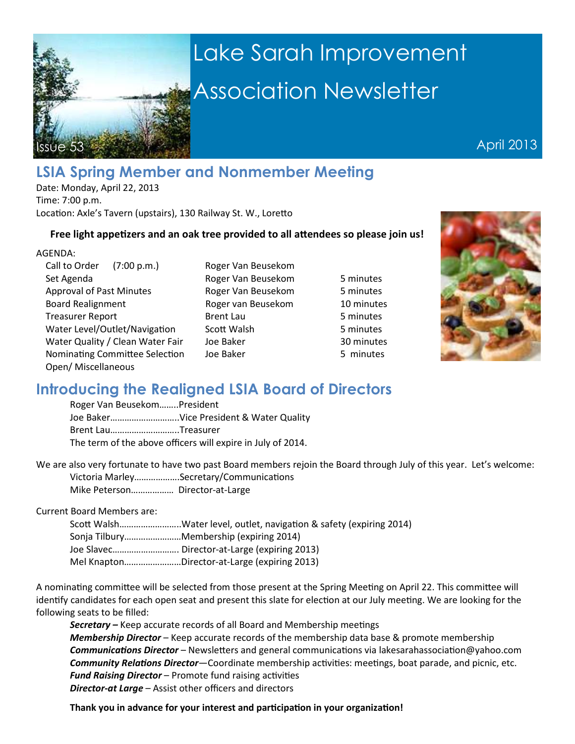

# Lake Sarah Improvement Association Newsletter

April 2013

## **LSIA Spring Member and Nonmember Meeting**

Date: Monday, April 22, 2013 Time: 7:00 p.m. Location: Axle's Tavern (upstairs), 130 Railway St. W., Loretto

#### Free light appetizers and an oak tree provided to all attendees so please join us!

Set Agenda **Roger Van Beusekom** 5 minutes Approval of Past Minutes Roger Van Beusekom 5 minutes Board Realignment Roger van Beusekom 10 minutes Treasurer Report **Brent Lau** Brent Lau 5 minutes Water Level/Outlet/Navigation Scott Walsh 5 minutes Water Quality / Clean Water Fair Joe Baker 30 minutes Nominating Committee Selection Joe Baker 5 minutes Open/ Miscellaneous

Call to Order (7:00 p.m.) Roger Van Beusekom



### **Introducing the Realigned LSIA Board of Directors**

Roger Van Beusekom……..President Joe Baker………………………..Vice President & Water Quality Brent Lau………………………..Treasurer The term of the above officers will expire in July of 2014.

We are also very fortunate to have two past Board members rejoin the Board through July of this year. Let's welcome: Victoria Marley...................Secretary/Communications Mike Peterson……………… Director-at-Large

Current Board Members are:

| Scott WalshWater level, outlet, navigation & safety (expiring 2014) |
|---------------------------------------------------------------------|
| Sonja TilburyMembership (expiring 2014)                             |
| Joe Slavec Director-at-Large (expiring 2013)                        |
| Mel KnaptonDirector-at-Large (expiring 2013)                        |

A nominating committee will be selected from those present at the Spring Meeting on April 22. This committee will identify candidates for each open seat and present this slate for election at our July meeting. We are looking for the following seats to be filled:

**Secretary –** Keep accurate records of all Board and Membership meetings *Membership Director* – Keep accurate records of the membership data base & promote membership **Communications Director** – Newsletters and general communications via lakesarahassociation@yahoo.com **Community Relations Director**—Coordinate membership activities: meetings, boat parade, and picnic, etc. **Fund Raising Director** – Promote fund raising activities *Director-at Large –* Assist other officers and directors

Thank you in advance for your interest and participation in your organization!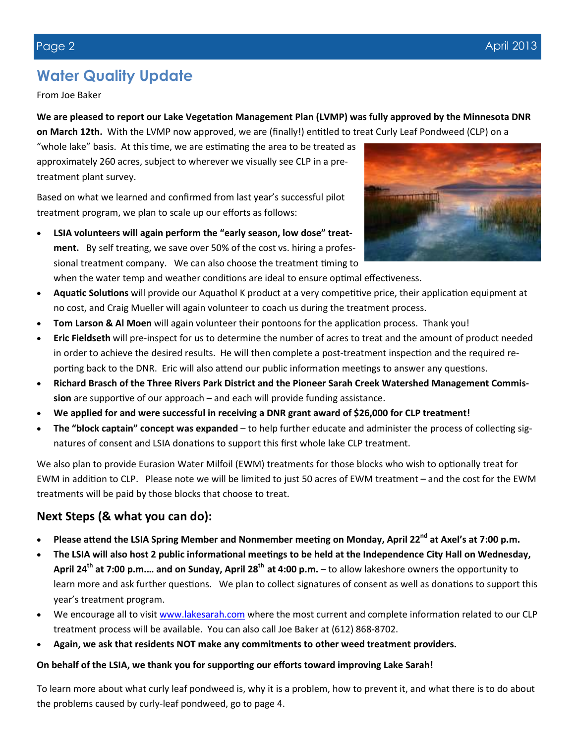# **Water Quality Update**

From Joe Baker

### We are pleased to report our Lake Vegetation Management Plan (LVMP) was fully approved by the Minnesota DNR

**on March 12th.** With the LVMP now approved, we are (finally!) entitled to treat Curly Leaf Pondweed (CLP) on a

"whole lake" basis. At this time, we are estimating the area to be treated as approximately 260 acres, subject to wherever we visually see CLP in a pretreatment plant survey.

Based on what we learned and confirmed from last year's successful pilot treatment program, we plan to scale up our efforts as follows:

- **LSIA volunteers will again perform the "early season, low dose" treat**ment. By self treating, we save over 50% of the cost vs. hiring a professional treatment company. We can also choose the treatment timing to when the water temp and weather conditions are ideal to ensure optimal effectiveness.
- Aquatic Solutions will provide our Aquathol K product at a very competitive price, their application equipment at no cost, and Craig Mueller will again volunteer to coach us during the treatment process.
- **Tom Larson & Al Moen** will again volunteer their pontoons for the application process. Thank you!
- **Eric Fieldseth** will pre-inspect for us to determine the number of acres to treat and the amount of product needed in order to achieve the desired results. He will then complete a post-treatment inspection and the required reporting back to the DNR. Eric will also attend our public information meetings to answer any questions.
- **Richard Brasch of the Three Rivers Park District and the Pioneer Sarah Creek Watershed Management Commis**sion are supportive of our approach – and each will provide funding assistance.
- **We applied for and were successful in receiving a DNR grant award of \$26,000 for CLP treatment!**
- **The "block captain" concept was expanded** to help further educate and administer the process of collecting signatures of consent and LSIA donations to support this first whole lake CLP treatment.

We also plan to provide Eurasion Water Milfoil (EWM) treatments for those blocks who wish to optionally treat for EWM in addition to CLP. Please note we will be limited to just 50 acres of EWM treatment – and the cost for the EWM treatments will be paid by those blocks that choose to treat.

### **Next Steps (& what you can do):**

- Please attend the LSIA Spring Member and Nonmember meeting on Monday, April 22<sup>nd</sup> at Axel's at 7:00 p.m.
- The LSIA will also host 2 public informational meetings to be held at the Independence City Hall on Wednesday, **April 24th at 7:00 p.m.… and on Sunday, April 28th at 4:00 p.m.** – to allow lakeshore owners the opportunity to learn more and ask further questions. We plan to collect signatures of consent as well as donations to support this year's treatment program.
- We encourage all to visit www.lakesarah.com where the most current and complete information related to our CLP treatment process will be available. You can also call Joe Baker at (612) 868-8702.
- **Again, we ask that residents NOT make any commitments to other weed treatment providers.**

#### On behalf of the LSIA, we thank you for supporting our efforts toward improving Lake Sarah!

To learn more about what curly leaf pondweed is, why it is a problem, how to prevent it, and what there is to do about the problems caused by curly-leaf pondweed, go to page 4.

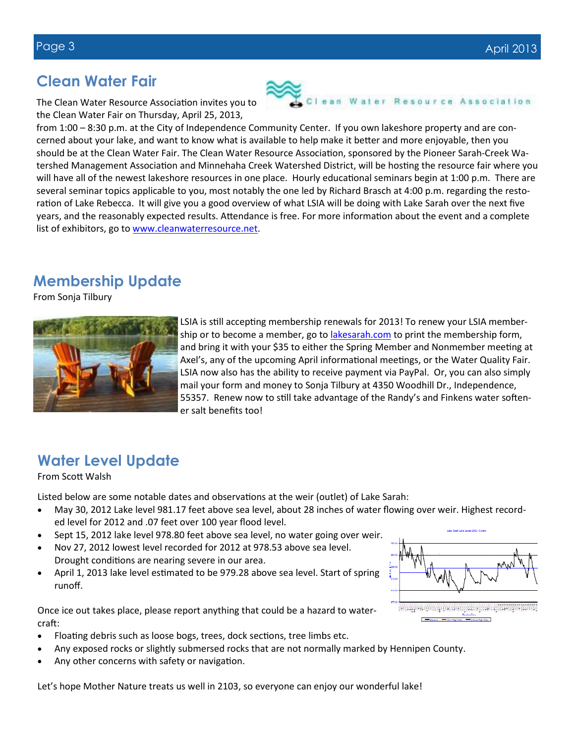### **Clean Water Fair**

The Clean Water Resource Association invites you to the Clean Water Fair on Thursday, April 25, 2013,

from 1:00 – 8:30 p.m. at the City of Independence Community Center. If you own lakeshore property and are concerned about your lake, and want to know what is available to help make it better and more enjoyable, then you should be at the Clean Water Fair. The Clean Water Resource Association, sponsored by the Pioneer Sarah-Creek Watershed Management Association and Minnehaha Creek Watershed District, will be hosting the resource fair where you will have all of the newest lakeshore resources in one place. Hourly educational seminars begin at 1:00 p.m. There are several seminar topics applicable to you, most notably the one led by Richard Brasch at 4:00 p.m. regarding the restoration of Lake Rebecca. It will give you a good overview of what LSIA will be doing with Lake Sarah over the next five years, and the reasonably expected results. Attendance is free. For more information about the event and a complete list of exhibitors, go to www.cleanwaterresource.net.

### **Membership Update**

From Sonja Tilbury



LSIA is still accepting membership renewals for 2013! To renew your LSIA membership or to become a member, go to **lakesarah.com** to print the membership form, and bring it with your \$35 to either the Spring Member and Nonmember meeting at Axel's, any of the upcoming April informational meetings, or the Water Quality Fair. LSIA now also has the ability to receive payment via PayPal. Or, you can also simply mail your form and money to Sonja Tilbury at 4350 Woodhill Dr., Independence, 55357. Renew now to still take advantage of the Randy's and Finkens water softener salt benefits too!

# **Water Level Update**

#### From Scott Walsh

Listed below are some notable dates and observations at the weir (outlet) of Lake Sarah:

- May 30, 2012 Lake level 981.17 feet above sea level, about 28 inches of water flowing over weir. Highest recorded level for 2012 and .07 feet over 100 year flood level.
- Sept 15, 2012 lake level 978.80 feet above sea level, no water going over weir.
- Nov 27, 2012 lowest level recorded for 2012 at 978.53 above sea level. Drought conditions are nearing severe in our area.
- April 1, 2013 lake level estimated to be 979.28 above sea level. Start of spring runoff.

Once ice out takes place, please report anything that could be a hazard to watercraft:

- Floating debris such as loose bogs, trees, dock sections, tree limbs etc.
- Any exposed rocks or slightly submersed rocks that are not normally marked by Hennipen County.
- Any other concerns with safety or navigation.

Let's hope Mother Nature treats us well in 2103, so everyone can enjoy our wonderful lake!